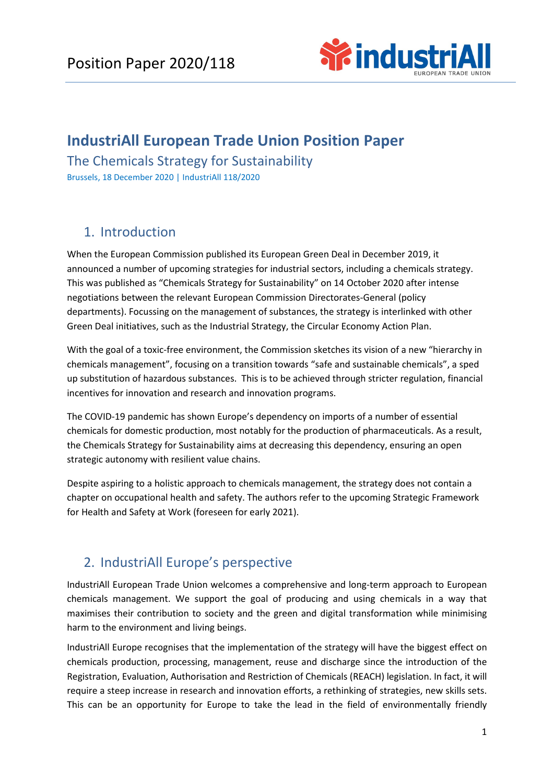

# **IndustriAll European Trade Union Position Paper**

The Chemicals Strategy for Sustainability Brussels, 18 December 2020 | IndustriAll 118/2020

# 1. Introduction

When the European Commission published its European Green Deal in December 2019, it announced a number of upcoming strategies for industrial sectors, including a chemicals strategy. This was published as "Chemicals Strategy for Sustainability" on 14 October 2020 after intense negotiations between the relevant European Commission Directorates-General (policy departments). Focussing on the management of substances, the strategy is interlinked with other Green Deal initiatives, such as the Industrial Strategy, the Circular Economy Action Plan.

With the goal of a toxic-free environment, the Commission sketches its vision of a new "hierarchy in chemicals management", focusing on a transition towards "safe and sustainable chemicals", a sped up substitution of hazardous substances. This is to be achieved through stricter regulation, financial incentives for innovation and research and innovation programs.

The COVID-19 pandemic has shown Europe's dependency on imports of a number of essential chemicals for domestic production, most notably for the production of pharmaceuticals. As a result, the Chemicals Strategy for Sustainability aims at decreasing this dependency, ensuring an open strategic autonomy with resilient value chains.

Despite aspiring to a holistic approach to chemicals management, the strategy does not contain a chapter on occupational health and safety. The authors refer to the upcoming Strategic Framework for Health and Safety at Work (foreseen for early 2021).

# 2. IndustriAll Europe's perspective

IndustriAll European Trade Union welcomes a comprehensive and long-term approach to European chemicals management. We support the goal of producing and using chemicals in a way that maximises their contribution to society and the green and digital transformation while minimising harm to the environment and living beings.

IndustriAll Europe recognises that the implementation of the strategy will have the biggest effect on chemicals production, processing, management, reuse and discharge since the introduction of the Registration, Evaluation, Authorisation and Restriction of Chemicals (REACH) legislation. In fact, it will require a steep increase in research and innovation efforts, a rethinking of strategies, new skills sets. This can be an opportunity for Europe to take the lead in the field of environmentally friendly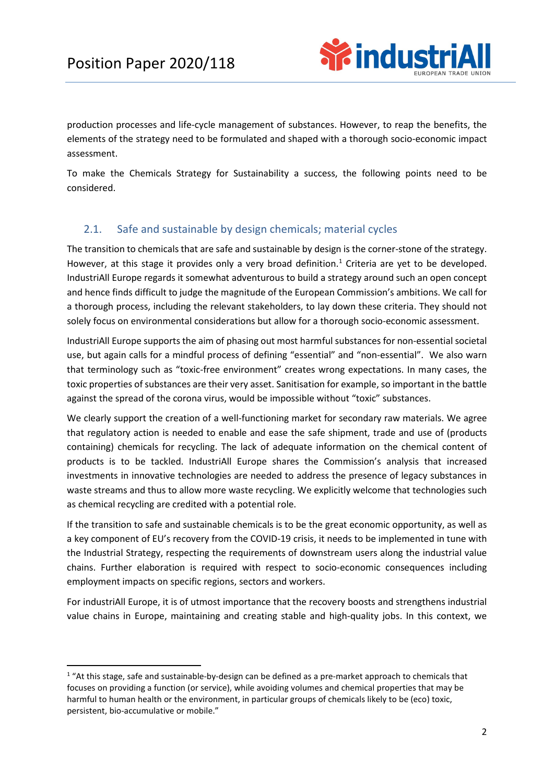

production processes and life-cycle management of substances. However, to reap the benefits, the elements of the strategy need to be formulated and shaped with a thorough socio-economic impact assessment.

To make the Chemicals Strategy for Sustainability a success, the following points need to be considered.

### 2.1. Safe and sustainable by design chemicals; material cycles

The transition to chemicals that are safe and sustainable by design is the corner-stone of the strategy. However, at this stage it provides only a very broad definition.<sup>[1](#page-1-0)</sup> Criteria are yet to be developed. IndustriAll Europe regards it somewhat adventurous to build a strategy around such an open concept and hence finds difficult to judge the magnitude of the European Commission's ambitions. We call for a thorough process, including the relevant stakeholders, to lay down these criteria. They should not solely focus on environmental considerations but allow for a thorough socio-economic assessment.

IndustriAll Europe supports the aim of phasing out most harmful substances for non-essential societal use, but again calls for a mindful process of defining "essential" and "non-essential". We also warn that terminology such as "toxic-free environment" creates wrong expectations. In many cases, the toxic properties of substances are their very asset. Sanitisation for example, so important in the battle against the spread of the corona virus, would be impossible without "toxic" substances.

We clearly support the creation of a well-functioning market for secondary raw materials. We agree that regulatory action is needed to enable and ease the safe shipment, trade and use of (products containing) chemicals for recycling. The lack of adequate information on the chemical content of products is to be tackled. IndustriAll Europe shares the Commission's analysis that increased investments in innovative technologies are needed to address the presence of legacy substances in waste streams and thus to allow more waste recycling. We explicitly welcome that technologies such as chemical recycling are credited with a potential role.

If the transition to safe and sustainable chemicals is to be the great economic opportunity, as well as a key component of EU's recovery from the COVID-19 crisis, it needs to be implemented in tune with the Industrial Strategy, respecting the requirements of downstream users along the industrial value chains. Further elaboration is required with respect to socio-economic consequences including employment impacts on specific regions, sectors and workers.

For industriAll Europe, it is of utmost importance that the recovery boosts and strengthens industrial value chains in Europe, maintaining and creating stable and high-quality jobs. In this context, we

<span id="page-1-0"></span><sup>&</sup>lt;sup>1</sup> "At this stage, safe and sustainable-by-design can be defined as a pre-market approach to chemicals that focuses on providing a function (or service), while avoiding volumes and chemical properties that may be harmful to human health or the environment, in particular groups of chemicals likely to be (eco) toxic, persistent, bio-accumulative or mobile."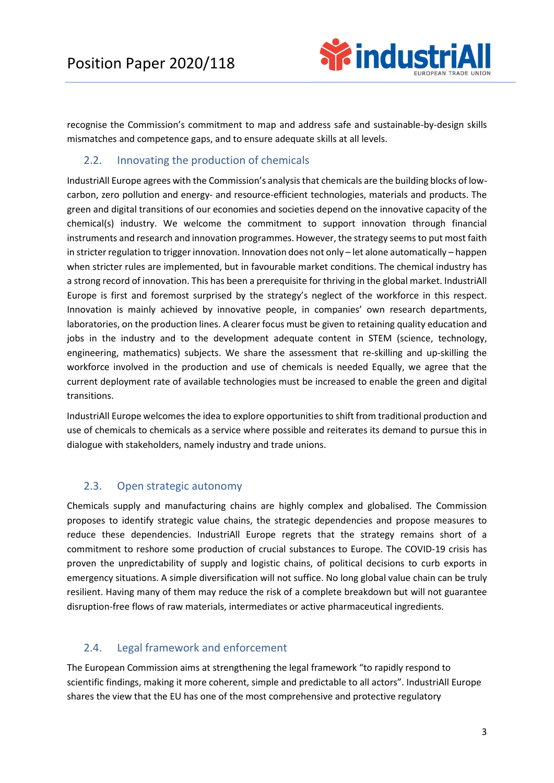

recognise the Commission's commitment to map and address safe and sustainable-by-design skills mismatches and competence gaps, and to ensure adequate skills at all levels.

#### 2.2. Innovating the production of chemicals

IndustriAll Europe agrees with the Commission's analysis that chemicals are the building blocks of lowcarbon, zero pollution and energy- and resource-efficient technologies, materials and products. The green and digital transitions of our economies and societies depend on the innovative capacity of the chemical(s) industry. We welcome the commitment to support innovation through financial instruments and research and innovation programmes. However, the strategy seems to put most faith in stricter regulation to trigger innovation. Innovation does not only – let alone automatically – happen when stricter rules are implemented, but in favourable market conditions. The chemical industry has a strong record of innovation. This has been a prerequisite for thriving in the global market. IndustriAll Europe is first and foremost surprised by the strategy's neglect of the workforce in this respect. Innovation is mainly achieved by innovative people, in companies' own research departments, laboratories, on the production lines. A clearer focus must be given to retaining quality education and jobs in the industry and to the development adequate content in STEM (science, technology, engineering, mathematics) subjects. We share the assessment that re-skilling and up-skilling the workforce involved in the production and use of chemicals is needed Equally, we agree that the current deployment rate of available technologies must be increased to enable the green and digital transitions.

IndustriAll Europe welcomes the idea to explore opportunities to shift from traditional production and use of chemicals to chemicals as a service where possible and reiterates its demand to pursue this in dialogue with stakeholders, namely industry and trade unions.

#### 2.3. Open strategic autonomy

Chemicals supply and manufacturing chains are highly complex and globalised. The Commission proposes to identify strategic value chains, the strategic dependencies and propose measures to reduce these dependencies. IndustriAll Europe regrets that the strategy remains short of a commitment to reshore some production of crucial substances to Europe. The COVID-19 crisis has proven the unpredictability of supply and logistic chains, of political decisions to curb exports in emergency situations. A simple diversification will not suffice. No long global value chain can be truly resilient. Having many of them may reduce the risk of a complete breakdown but will not guarantee disruption-free flows of raw materials, intermediates or active pharmaceutical ingredients.

### 2.4. Legal framework and enforcement

The European Commission aims at strengthening the legal framework "to rapidly respond to scientific findings, making it more coherent, simple and predictable to all actors". IndustriAll Europe shares the view that the EU has one of the most comprehensive and protective regulatory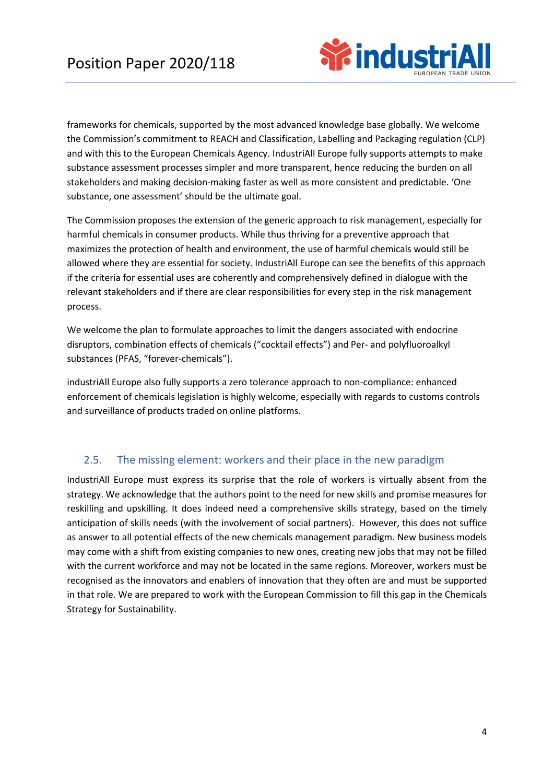

frameworks for chemicals, supported by the most advanced knowledge base globally. We welcome the Commission's commitment to REACH and Classification, Labelling and Packaging regulation (CLP) and with this to the European Chemicals Agency. IndustriAll Europe fully supports attempts to make substance assessment processes simpler and more transparent, hence reducing the burden on all stakeholders and making decision-making faster as well as more consistent and predictable. 'One substance, one assessment' should be the ultimate goal.

The Commission proposes the extension of the generic approach to risk management, especially for harmful chemicals in consumer products. While thus thriving for a preventive approach that maximizes the protection of health and environment, the use of harmful chemicals would still be allowed where they are essential for society. IndustriAll Europe can see the benefits of this approach if the criteria for essential uses are coherently and comprehensively defined in dialogue with the relevant stakeholders and if there are clear responsibilities for every step in the risk management process.

We welcome the plan to formulate approaches to limit the dangers associated with endocrine disruptors, combination effects of chemicals ("cocktail effects") and Per- and polyfluoroalkyl substances (PFAS, "forever-chemicals").

industriAll Europe also fully supports a zero tolerance approach to non-compliance: enhanced enforcement of chemicals legislation is highly welcome, especially with regards to customs controls and surveillance of products traded on online platforms.

### 2.5. The missing element: workers and their place in the new paradigm

IndustriAll Europe must express its surprise that the role of workers is virtually absent from the strategy. We acknowledge that the authors point to the need for new skills and promise measures for reskilling and upskilling. It does indeed need a comprehensive skills strategy, based on the timely anticipation of skills needs (with the involvement of social partners). However, this does not suffice as answer to all potential effects of the new chemicals management paradigm. New business models may come with a shift from existing companies to new ones, creating new jobs that may not be filled with the current workforce and may not be located in the same regions. Moreover, workers must be recognised as the innovators and enablers of innovation that they often are and must be supported in that role. We are prepared to work with the European Commission to fill this gap in the Chemicals Strategy for Sustainability.